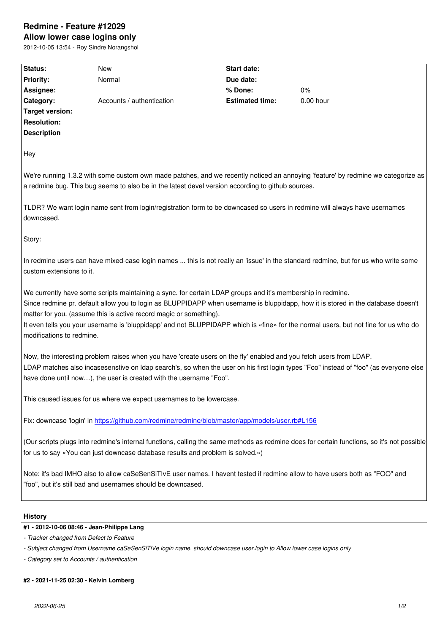## **Allow lower case logins only**

2012-10-05 13:54 - Roy Sindre Norangshol

| Status:                   | <b>New</b>                                                                                                                                                                                   | <b>Start date:</b>     |                                                                                                                                                                                                                                                                         |
|---------------------------|----------------------------------------------------------------------------------------------------------------------------------------------------------------------------------------------|------------------------|-------------------------------------------------------------------------------------------------------------------------------------------------------------------------------------------------------------------------------------------------------------------------|
| <b>Priority:</b>          | Normal                                                                                                                                                                                       | Due date:              |                                                                                                                                                                                                                                                                         |
| Assignee:                 |                                                                                                                                                                                              | % Done:                | $0\%$                                                                                                                                                                                                                                                                   |
| Category:                 | Accounts / authentication                                                                                                                                                                    | <b>Estimated time:</b> | $0.00$ hour                                                                                                                                                                                                                                                             |
| <b>Target version:</b>    |                                                                                                                                                                                              |                        |                                                                                                                                                                                                                                                                         |
| <b>Resolution:</b>        |                                                                                                                                                                                              |                        |                                                                                                                                                                                                                                                                         |
| <b>Description</b>        |                                                                                                                                                                                              |                        |                                                                                                                                                                                                                                                                         |
| Hey                       |                                                                                                                                                                                              |                        |                                                                                                                                                                                                                                                                         |
|                           |                                                                                                                                                                                              |                        | We're running 1.3.2 with some custom own made patches, and we recently noticed an annoying 'feature' by redmine we categorize as                                                                                                                                        |
|                           | a redmine bug. This bug seems to also be in the latest devel version according to github sources.                                                                                            |                        |                                                                                                                                                                                                                                                                         |
| downcased.                | TLDR? We want login name sent from login/registration form to be downcased so users in redmine will always have usernames                                                                    |                        |                                                                                                                                                                                                                                                                         |
| Story:                    |                                                                                                                                                                                              |                        |                                                                                                                                                                                                                                                                         |
| custom extensions to it.  |                                                                                                                                                                                              |                        | In redmine users can have mixed-case login names  this is not really an 'issue' in the standard redmine, but for us who write some                                                                                                                                      |
| modifications to redmine. | We currently have some scripts maintaining a sync. for certain LDAP groups and it's membership in redmine.<br>matter for you. (assume this is active record magic or something).             |                        | Since redmine pr. default allow you to login as BLUPPIDAPP when username is bluppidapp, how it is stored in the database doesn't<br>It even tells you your username is 'bluppidapp' and not BLUPPIDAPP which is «fine» for the normal users, but not fine for us who do |
|                           | Now, the interesting problem raises when you have 'create users on the fly' enabled and you fetch users from LDAP.<br>have done until now), the user is created with the username "Foo".     |                        | LDAP matches also incasesenstive on Idap search's, so when the user on his first login types "Foo" instead of "foo" (as everyone else                                                                                                                                   |
|                           | This caused issues for us where we expect usernames to be lowercase.                                                                                                                         |                        |                                                                                                                                                                                                                                                                         |
|                           | Fix: downcase 'login' in https://github.com/redmine/redmine/blob/master/app/models/user.rb#L156                                                                                              |                        |                                                                                                                                                                                                                                                                         |
|                           | for us to say «You can just downcase database results and problem is solved.»)                                                                                                               |                        | (Our scripts plugs into redmine's internal functions, calling the same methods as redmine does for certain functions, so it's not possible                                                                                                                              |
|                           | Note: it's bad IMHO also to allow caSeSenSiTIvE user names. I havent tested if redmine allow to have users both as "FOO" and<br>"foo", but it's still bad and usernames should be downcased. |                        |                                                                                                                                                                                                                                                                         |
| <b>History</b>            |                                                                                                                                                                                              |                        |                                                                                                                                                                                                                                                                         |
|                           | #1 - 2012-10-06 08:46 - Jean-Philippe Lang                                                                                                                                                   |                        |                                                                                                                                                                                                                                                                         |
|                           | - Tracker changed from Defect to Feature                                                                                                                                                     |                        |                                                                                                                                                                                                                                                                         |
|                           | - Subject changed from Username caSeSenSiTiVe login name, should downcase user login to Allow lower case logins only                                                                         |                        |                                                                                                                                                                                                                                                                         |
|                           |                                                                                                                                                                                              |                        |                                                                                                                                                                                                                                                                         |

*- Category set to Accounts / authentication*

## **#2 - 2021-11-25 02:30 - Kelvin Lomberg**